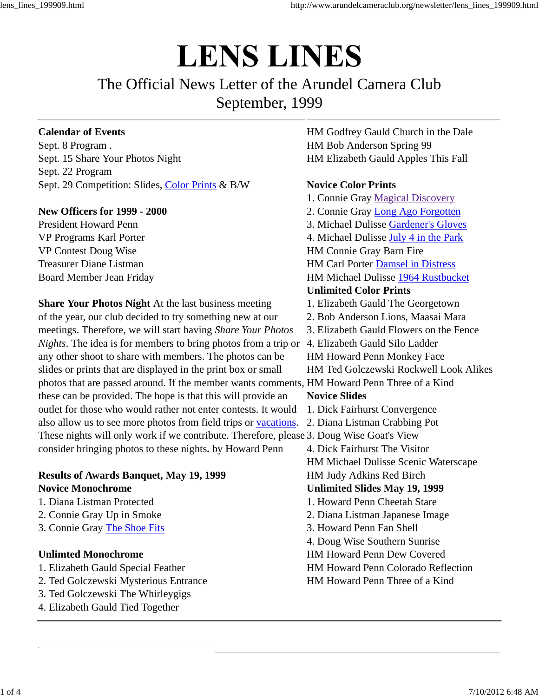# **LENS LINES**

# The Official News Letter of the Arundel Camera Club September, 1999

#### **Calendar of Events**

Sept. 8 Program . Sept. 15 Share Your Photos Night Sept. 22 Program Sept. 29 Competition: Slides, Color Prints & B/W

#### **New Officers for 1999 - 2000**

President Howard Penn VP Programs Karl Porter VP Contest Doug Wise Treasurer Diane Listman Board Member Jean Friday

**Share Your Photos Night** At the last business meeting of the year, our club decided to try something new at our meetings. Therefore, we will start having *Share Your Photos Nights*. The idea is for members to bring photos from a trip or 4. Elizabeth Gauld Silo Ladder any other shoot to share with members. The photos can be slides or prints that are displayed in the print box or small photos that are passed around. If the member wants comments, HM Howard Penn Three of a Kind these can be provided. The hope is that this will provide an outlet for those who would rather not enter contests. It would also allow us to see more photos from field trips or vacations. These nights will only work if we contribute. Therefore, please 3. Doug Wise Goat's View consider bringing photos to these nights**.** by Howard Penn

#### **Results of Awards Banquet, May 19, 1999 Novice Monochrome**

- 1. Diana Listman Protected
- 2. Connie Gray Up in Smoke
- 3. Connie Gray The Shoe Fits

#### **Unlimted Monochrome**

- 1. Elizabeth Gauld Special Feather
- 2. Ted Golczewski Mysterious Entrance
- 3. Ted Golczewski The Whirleygigs
- 4. Elizabeth Gauld Tied Together

HM Godfrey Gauld Church in the Dale HM Bob Anderson Spring 99 HM Elizabeth Gauld Apples This Fall

#### **Novice Color Prints**

1. Connie Gray Magical Discovery 2. Connie Gray Long Ago Forgotten 3. Michael Dulisse Gardener's Gloves 4. Michael Dulisse July 4 in the Park HM Connie Gray Barn Fire HM Carl Porter Damsel in Distress HM Michael Dulisse 1964 Rustbucket **Unlimited Color Prints** 1. Elizabeth Gauld The Georgetown 2. Bob Anderson Lions, Maasai Mara 3. Elizabeth Gauld Flowers on the Fence HM Howard Penn Monkey Face HM Ted Golczewski Rockwell Look Alikes **Novice Slides** 1. Dick Fairhurst Convergence 2. Diana Listman Crabbing Pot 4. Dick Fairhurst The Visitor HM Michael Dulisse Scenic Waterscape HM Judy Adkins Red Birch **Unlimited Slides May 19, 1999** 1. Howard Penn Cheetah Stare 2. Diana Listman Japanese Image 3. Howard Penn Fan Shell 4. Doug Wise Southern Sunrise HM Howard Penn Dew Covered HM Howard Penn Colorado Reflection HM Howard Penn Three of a Kind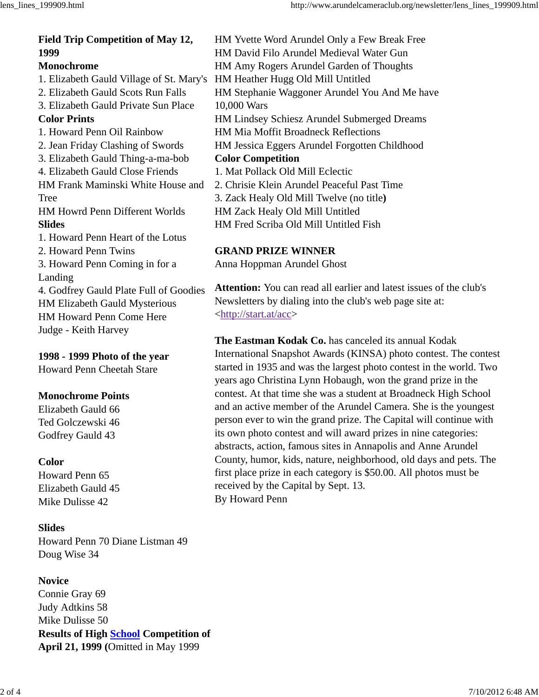## **Field Trip Competition of May 12, 1999 Monochrome**

1. Elizabeth Gauld Village of St. Mary's 2. Elizabeth Gauld Scots Run Falls 3. Elizabeth Gauld Private Sun Place **Color Prints** 1. Howard Penn Oil Rainbow 2. Jean Friday Clashing of Swords 3. Elizabeth Gauld Thing-a-ma-bob 4. Elizabeth Gauld Close Friends HM Frank Maminski White House and Tree HM Howrd Penn Different Worlds **Slides** 1. Howard Penn Heart of the Lotus 2. Howard Penn Twins 3. Howard Penn Coming in for a Landing 4. Godfrey Gauld Plate Full of Goodies HM Elizabeth Gauld Mysterious

HM Howard Penn Come Here Judge - Keith Harvey

**1998 - 1999 Photo of the year** Howard Penn Cheetah Stare

### **Monochrome Points**

Elizabeth Gauld 66 Ted Golczewski 46 Godfrey Gauld 43

#### **Color**

Howard Penn 65 Elizabeth Gauld 45 Mike Dulisse 42

### **Slides**

Howard Penn 70 Diane Listman 49 Doug Wise 34

### **Novice**

Connie Gray 69 Judy Adtkins 58 Mike Dulisse 50 **Results of High School Competition of April 21, 1999 (**Omitted in May 1999

HM Yvette Word Arundel Only a Few Break Free HM David Filo Arundel Medieval Water Gun HM Amy Rogers Arundel Garden of Thoughts HM Heather Hugg Old Mill Untitled HM Stephanie Waggoner Arundel You And Me have 10,000 Wars HM Lindsey Schiesz Arundel Submerged Dreams HM Mia Moffit Broadneck Reflections HM Jessica Eggers Arundel Forgotten Childhood **Color Competition** 1. Mat Pollack Old Mill Eclectic 2. Chrisie Klein Arundel Peaceful Past Time 3. Zack Healy Old Mill Twelve (no title**)** HM Zack Healy Old Mill Untitled

HM Fred Scriba Old Mill Untitled Fish

### **GRAND PRIZE WINNER**

Anna Hoppman Arundel Ghost

**Attention:** You can read all earlier and latest issues of the club's Newsletters by dialing into the club's web page site at: <http://start.at/acc>

**The Eastman Kodak Co.** has canceled its annual Kodak International Snapshot Awards (KINSA) photo contest. The contest started in 1935 and was the largest photo contest in the world. Two years ago Christina Lynn Hobaugh, won the grand prize in the contest. At that time she was a student at Broadneck High School and an active member of the Arundel Camera. She is the youngest person ever to win the grand prize. The Capital will continue with its own photo contest and will award prizes in nine categories: abstracts, action, famous sites in Annapolis and Anne Arundel County, humor, kids, nature, neighborhood, old days and pets. The first place prize in each category is \$50.00. All photos must be received by the Capital by Sept. 13. By Howard Penn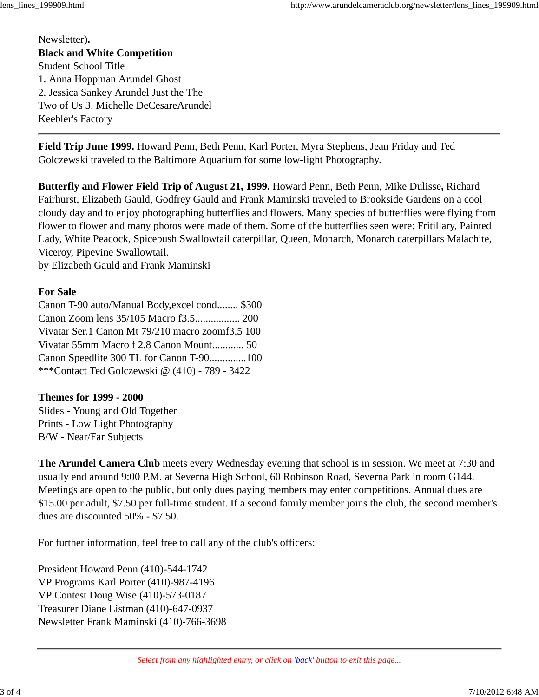Newsletter)**. Black and White Competition** Student School Title 1. Anna Hoppman Arundel Ghost 2. Jessica Sankey Arundel Just the The Two of Us 3. Michelle DeCesareArundel Keebler's Factory

**Field Trip June 1999.** Howard Penn, Beth Penn, Karl Porter, Myra Stephens, Jean Friday and Ted Golczewski traveled to the Baltimore Aquarium for some low-light Photography.

**Butterfly and Flower Field Trip of August 21, 1999.** Howard Penn, Beth Penn, Mike Dulisse**,** Richard Fairhurst, Elizabeth Gauld, Godfrey Gauld and Frank Maminski traveled to Brookside Gardens on a cool cloudy day and to enjoy photographing butterflies and flowers. Many species of butterflies were flying from flower to flower and many photos were made of them. Some of the butterflies seen were: Fritillary, Painted Lady, White Peacock, Spicebush Swallowtail caterpillar, Queen, Monarch, Monarch caterpillars Malachite, Viceroy, Pipevine Swallowtail.

by Elizabeth Gauld and Frank Maminski

#### **For Sale**

Canon T-90 auto/Manual Body,excel cond........ \$300 Canon Zoom lens 35/105 Macro f3.5................. 200 Vivatar Ser.1 Canon Mt 79/210 macro zoomf3.5 100 Vivatar 55mm Macro f 2.8 Canon Mount............ 50 Canon Speedlite 300 TL for Canon T-90..............100 \*\*\*Contact Ted Golczewski @ (410) - 789 - 3422

#### **Themes for 1999 - 2000**

Slides - Young and Old Together Prints - Low Light Photography B/W - Near/Far Subjects

**The Arundel Camera Club** meets every Wednesday evening that school is in session. We meet at 7:30 and usually end around 9:00 P.M. at Severna High School, 60 Robinson Road, Severna Park in room G144. Meetings are open to the public, but only dues paying members may enter competitions. Annual dues are \$15.00 per adult, \$7.50 per full-time student. If a second family member joins the club, the second member's dues are discounted 50% - \$7.50.

For further information, feel free to call any of the club's officers:

President Howard Penn (410)-544-1742 VP Programs Karl Porter (410)-987-4196 VP Contest Doug Wise (410)-573-0187 Treasurer Diane Listman (410)-647-0937 Newsletter Frank Maminski (410)-766-3698